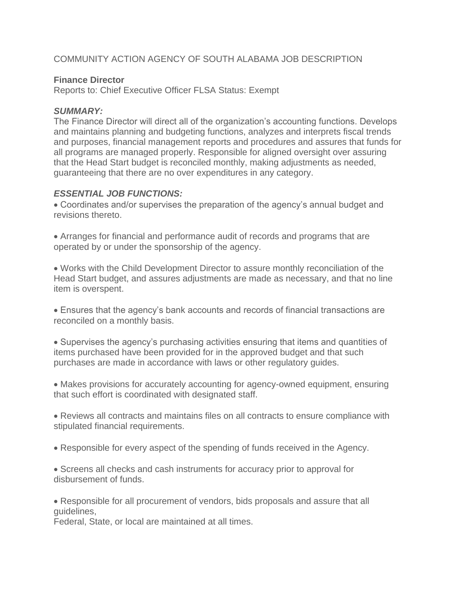# COMMUNITY ACTION AGENCY OF SOUTH ALABAMA JOB DESCRIPTION

### **Finance Director**

Reports to: Chief Executive Officer FLSA Status: Exempt

#### *SUMMARY:*

The Finance Director will direct all of the organization's accounting functions. Develops and maintains planning and budgeting functions, analyzes and interprets fiscal trends and purposes, financial management reports and procedures and assures that funds for all programs are managed properly. Responsible for aligned oversight over assuring that the Head Start budget is reconciled monthly, making adjustments as needed, guaranteeing that there are no over expenditures in any category.

#### *ESSENTIAL JOB FUNCTIONS:*

• Coordinates and/or supervises the preparation of the agency's annual budget and revisions thereto.

• Arranges for financial and performance audit of records and programs that are operated by or under the sponsorship of the agency.

• Works with the Child Development Director to assure monthly reconciliation of the Head Start budget, and assures adjustments are made as necessary, and that no line item is overspent.

• Ensures that the agency's bank accounts and records of financial transactions are reconciled on a monthly basis.

• Supervises the agency's purchasing activities ensuring that items and quantities of items purchased have been provided for in the approved budget and that such purchases are made in accordance with laws or other regulatory guides.

• Makes provisions for accurately accounting for agency-owned equipment, ensuring that such effort is coordinated with designated staff.

• Reviews all contracts and maintains files on all contracts to ensure compliance with stipulated financial requirements.

• Responsible for every aspect of the spending of funds received in the Agency.

• Screens all checks and cash instruments for accuracy prior to approval for disbursement of funds.

• Responsible for all procurement of vendors, bids proposals and assure that all guidelines,

Federal, State, or local are maintained at all times.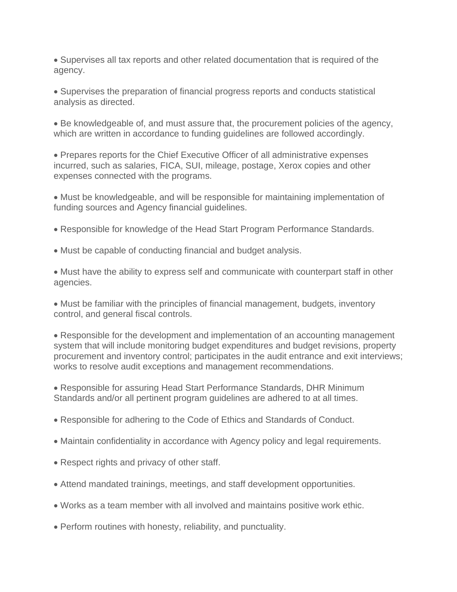• Supervises all tax reports and other related documentation that is required of the agency.

• Supervises the preparation of financial progress reports and conducts statistical analysis as directed.

• Be knowledgeable of, and must assure that, the procurement policies of the agency, which are written in accordance to funding guidelines are followed accordingly.

• Prepares reports for the Chief Executive Officer of all administrative expenses incurred, such as salaries, FICA, SUI, mileage, postage, Xerox copies and other expenses connected with the programs.

• Must be knowledgeable, and will be responsible for maintaining implementation of funding sources and Agency financial guidelines.

- Responsible for knowledge of the Head Start Program Performance Standards.
- Must be capable of conducting financial and budget analysis.

• Must have the ability to express self and communicate with counterpart staff in other agencies.

• Must be familiar with the principles of financial management, budgets, inventory control, and general fiscal controls.

• Responsible for the development and implementation of an accounting management system that will include monitoring budget expenditures and budget revisions, property procurement and inventory control; participates in the audit entrance and exit interviews; works to resolve audit exceptions and management recommendations.

• Responsible for assuring Head Start Performance Standards, DHR Minimum Standards and/or all pertinent program guidelines are adhered to at all times.

- Responsible for adhering to the Code of Ethics and Standards of Conduct.
- Maintain confidentiality in accordance with Agency policy and legal requirements.
- Respect rights and privacy of other staff.
- Attend mandated trainings, meetings, and staff development opportunities.
- Works as a team member with all involved and maintains positive work ethic.
- Perform routines with honesty, reliability, and punctuality.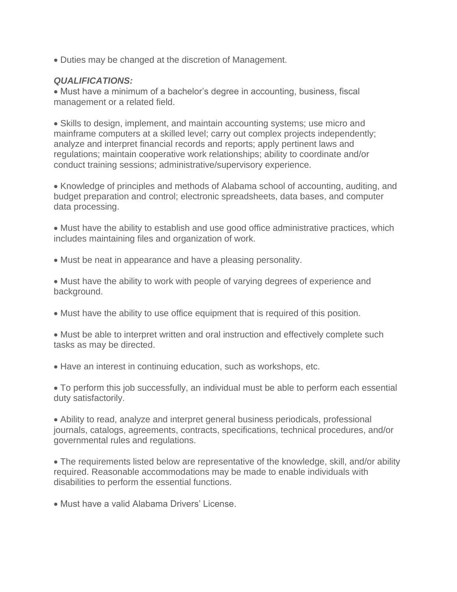• Duties may be changed at the discretion of Management.

# *QUALIFICATIONS:*

• Must have a minimum of a bachelor's degree in accounting, business, fiscal management or a related field.

• Skills to design, implement, and maintain accounting systems; use micro and mainframe computers at a skilled level; carry out complex projects independently; analyze and interpret financial records and reports; apply pertinent laws and regulations; maintain cooperative work relationships; ability to coordinate and/or conduct training sessions; administrative/supervisory experience.

• Knowledge of principles and methods of Alabama school of accounting, auditing, and budget preparation and control; electronic spreadsheets, data bases, and computer data processing.

• Must have the ability to establish and use good office administrative practices, which includes maintaining files and organization of work.

• Must be neat in appearance and have a pleasing personality.

• Must have the ability to work with people of varying degrees of experience and background.

• Must have the ability to use office equipment that is required of this position.

• Must be able to interpret written and oral instruction and effectively complete such tasks as may be directed.

• Have an interest in continuing education, such as workshops, etc.

• To perform this job successfully, an individual must be able to perform each essential duty satisfactorily.

• Ability to read, analyze and interpret general business periodicals, professional journals, catalogs, agreements, contracts, specifications, technical procedures, and/or governmental rules and regulations.

• The requirements listed below are representative of the knowledge, skill, and/or ability required. Reasonable accommodations may be made to enable individuals with disabilities to perform the essential functions.

• Must have a valid Alabama Drivers' License.